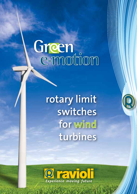## Green<br>e-motion

**rotary limit switches for wind turbines**

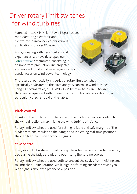## Driver rotary limit switches for wind turbines

Founded in 1926 in Milan, Ravioli S.p.a has been manufacturing electronic and electro-mechanical devices for various applications for over 80 years.

Always dealing with new markets and experiences, we have developed our Green e-motion programme, consisting in an important production line projected and realized for alternative energies, with a a special focus on wind power technology.

The result of our activity is a series of rotary limit switches specifically dedicated to the pitch and yaw control in wind turbines. Ranging several ratios, our DRIVER FRM limit switches are IP66 and they can be equipped with different cams profiles, whose calibration is particularly precise, rapid and reliable.

## Pitch control

Thanks to the pitch control, the angle of the blades can vary according to the wind directions, maximizing the wind turbine efficiency.

Rotary limit switches are used for setting reliable and safe margins of the blades motions, regulating their angle and indicating real-time positions through high-precision encoders signals.

## Yaw control

The yaw control system is used to keep the rotor perpendicular to the wind, decreasing the fatigue loads and optimizing the turbine power.

Rotary limit switches are used both to prevent the cables from twisting, and to limit the turbine rotation, while high-performing encoders provide you with signals about the precise yaw position.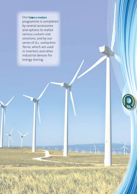Our Green e-motion programme is completed by several accessories and options to realize various custom-size solutions, and by our series of d.c. contactors Tecno, which are used in inverters and other industrial devices for

U

 $+20$ 

energy storing.